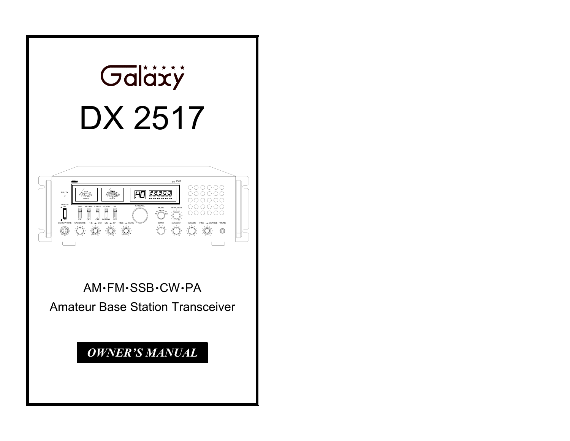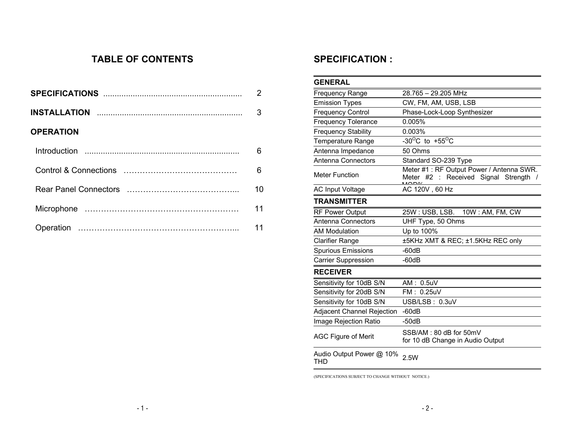### **TABLE OF CONTENTS**

|                  | $\overline{2}$ |
|------------------|----------------|
|                  | 3              |
| <b>OPERATION</b> |                |
|                  | 6              |
|                  | 6              |
|                  | 10             |
|                  | 11             |
|                  | 11             |

### **SPECIFICATION :**

| <b>GENERAL</b>                  |                                                                                       |
|---------------------------------|---------------------------------------------------------------------------------------|
| <b>Frequency Range</b>          | 28.765 - 29.205 MHz                                                                   |
| <b>Emission Types</b>           | CW, FM, AM, USB, LSB                                                                  |
| <b>Frequency Control</b>        | Phase-Lock-Loop Synthesizer                                                           |
| <b>Frequency Tolerance</b>      | 0.005%                                                                                |
| <b>Frequency Stability</b>      | 0.003%                                                                                |
| <b>Temperature Range</b>        | -30 <sup>o</sup> C to +55 <sup>o</sup> C                                              |
| Antenna Impedance               | 50 Ohms                                                                               |
| Antenna Connectors              | Standard SO-239 Type                                                                  |
| <b>Meter Function</b>           | Meter #1 : RF Output Power / Antenna SWR.<br>Received Signal Strength /<br>Meter #2 : |
| <b>AC Input Voltage</b>         | AC 120V, 60 Hz                                                                        |
| <b>TRANSMITTER</b>              |                                                                                       |
| <b>RF Power Output</b>          | 10W: AM, FM, CW<br>25W: USB, LSB.                                                     |
| Antenna Connectors              | UHF Type, 50 Ohms                                                                     |
| <b>AM Modulation</b>            | Up to 100%                                                                            |
| <b>Clarifier Range</b>          | ±5KHz XMT & REC; ±1.5KHz REC only                                                     |
| <b>Spurious Emissions</b>       | $-60dB$                                                                               |
| <b>Carrier Suppression</b>      | $-60dB$                                                                               |
| <b>RECEIVER</b>                 |                                                                                       |
| Sensitivity for 10dB S/N        | AM: 0.5uV                                                                             |
| Sensitivity for 20dB S/N        | FM: 0.25uV                                                                            |
| Sensitivity for 10dB S/N        | USB/LSB: 0.3uV                                                                        |
| Adjacent Channel Rejection      | $-60dB$                                                                               |
| Image Rejection Ratio           | $-50dB$                                                                               |
| <b>AGC Figure of Merit</b>      | SSB/AM: 80 dB for 50mV<br>for 10 dB Change in Audio Output                            |
| Audio Output Power @ 10%<br>THD | 2.5W                                                                                  |

(SPECIFICATIONS SUBJECT TO CHANGE WITHOUT NOTICE.)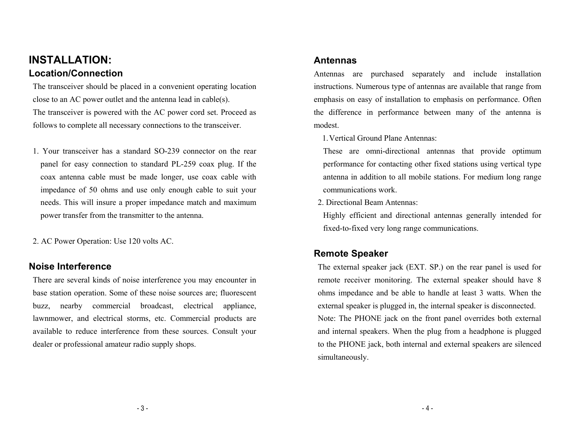# **INSTALLATION: Location/Connection**

The transceiver should be placed in a convenient operating location close to an AC power outlet and the antenna lead in cable(s). The transceiver is powered with the AC power cord set. Proceed as follows to complete all necessary connections to the transceiver.

1. Your transceiver has a standard SO-239 connector on the rear panel for easy connection to standard PL-259 coax plug. If the coax antenna cable must be made longer, use coax cable with impedance of 50 ohms and use only enough cable to suit your needs. This will insure a proper impedance match and maximum power transfer from the transmitter to the antenna.

2. AC Power Operation: Use 120 volts AC.

### **Noise Interference**

There are several kinds of noise interference you may encounter in base station operation. Some of these noise sources are; fluorescent buzz, nearby commercial broadcast, electrical appliance, lawnmower, and electrical storms, etc. Commercial products are available to reduce interference from these sources. Consult your dealer or professional amateur radio supply shops.

### **Antennas**

Antennas are purchased separately and include installation instructions. Numerous type of antennas are available that range from emphasis on easy of installation to emphasis on performance. Often the difference in performance between many of the antenna is modest.

1. Vertical Ground Plane Antennas:

These are omni-directional antennas that provide optimum performance for contacting other fixed stations using vertical type antenna in addition to all mobile stations. For medium long range communications work.

2. Directional Beam Antennas:

Highly efficient and directional antennas generally intended for fixed-to-fixed very long range communications.

### **Remote Speaker**

The external speaker jack (EXT. SP.) on the rear panel is used for remote receiver monitoring. The external speaker should have 8 ohms impedance and be able to handle at least 3 watts. When the external speaker is plugged in, the internal speaker is disconnected. Note: The PHONE jack on the front panel overrides both external and internal speakers. When the plug from a headphone is plugged to the PHONE jack, both internal and external speakers are silenced simultaneously.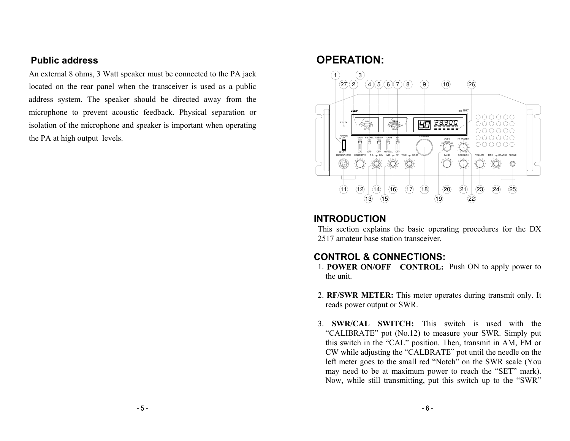### **Public address**

An external 8 ohms, 3 Watt speaker must be connected to the PA jack located on the rear panel when the transceiver is used as a public address system. The speaker should be directed away from the microphone to prevent acoustic feedback. Physical separation or isolation of the microphone and speaker is important when operating the PA at high output levels.

# **OPERATION:**



### **INTRODUCTION**

This section explains the basic operating procedures for the DX 2517 amateur base station transceiver.

# **CONTROL & CONNECTIONS:**

- 1. **POWER ON/OFF CONTROL:** Push ON to apply power to the unit.
- 2. **RF/SWR METER:** This meter operates during transmit only. It reads power output or SWR.
- 3. **SWR/CAL SWITCH:** This switch is used with the "CALIBRATE" pot (No.12) to measure your SWR. Simply put this switch in the "CAL" position. Then, transmit in AM, FM or CW while adjusting the "CALBRATE" pot until the needle on the left meter goes to the small red "Notch" on the SWR scale (You may need to be at maximum power to reach the "SET" mark). Now, while still transmitting, put this switch up to the "SWR"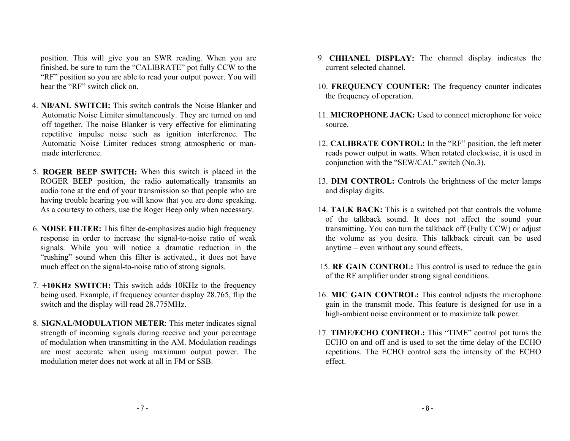position. This will give you an SWR reading. When you are finished, be sure to turn the "CALIBRATE" pot fully CCW to the "RF" position so you are able to read your output power. You will hear the "RF" switch click on.

- 4. **NB/ANL SWITCH:** This switch controls the Noise Blanker and Automatic Noise Limiter simultaneously. They are turned on and off together. The noise Blanker is very effective for eliminating repetitive impulse noise such as ignition interference. The Automatic Noise Limiter reduces strong atmospheric or manmade interference.
- 5. **ROGER BEEP SWITCH:** When this switch is placed in the ROGER BEEP position, the radio automatically transmits an audio tone at the end of your transmission so that people who are having trouble hearing you will know that you are done speaking. As a courtesy to others, use the Roger Beep only when necessary.
- 6. **NOISE FILTER:** This filter de-emphasizes audio high frequency response in order to increase the signal-to-noise ratio of weak signals. While you will notice a dramatic reduction in the "rushing" sound when this filter is activated., it does not have much effect on the signal-to-noise ratio of strong signals.
- 7. **+10KHz SWITCH:** This switch adds 10KHz to the frequency being used. Example, if frequency counter display 28.765, flip the switch and the display will read 28.775MHz.
- 8. **SIGNAL/MODULATION METER**: This meter indicates signal strength of incoming signals during receive and your percentage of modulation when transmitting in the AM. Modulation readings are most accurate when using maximum output power. The modulation meter does not work at all in FM or SSB.
- 9. **CHHANEL DISPLAY:** The channel display indicates the current selected channel.
- 10. **FREQUENCY COUNTER:** The frequency counter indicates the frequency of operation.
- 11. **MICROPHONE JACK:** Used to connect microphone for voice source.
- 12. **CALIBRATE CONTROL:** In the "RF" position, the left meter reads power output in watts. When rotated clockwise, it is used in conjunction with the "SEW/CAL" switch (No.3).
- 13. **DIM CONTROL:** Controls the brightness of the meter lamps and display digits.
- 14. **TALK BACK:** This is a switched pot that controls the volume of the talkback sound. It does not affect the sound your transmitting. You can turn the talkback off (Fully CCW) or adjust the volume as you desire. This talkback circuit can be used anytime – even without any sound effects.
- 15. **RF GAIN CONTROL:** This control is used to reduce the gain of the RF amplifier under strong signal conditions.
- 16. **MIC GAIN CONTROL:** This control adjusts the microphone gain in the transmit mode. This feature is designed for use in a high-ambient noise environment or to maximize talk power.
- 17. **TIME/ECHO CONTROL:** This "TIME" control pot turns the ECHO on and off and is used to set the time delay of the ECHO repetitions. The ECHO control sets the intensity of the ECHO effect.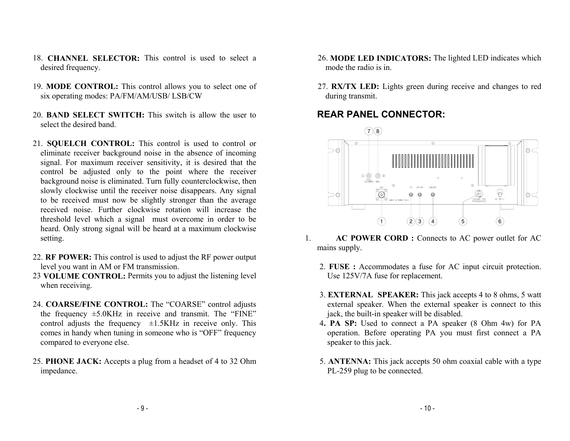- 18. **CHANNEL SELECTOR:** This control is used to select a desired frequency.
- 19. **MODE CONTROL:** This control allows you to select one of six operating modes: PA/FM/AM/USB/ LSB/CW
- 20. **BAND SELECT SWITCH:** This switch is allow the user to select the desired band.
- 21. **SQUELCH CONTROL:** This control is used to control or eliminate receiver background noise in the absence of incoming signal. For maximum receiver sensitivity, it is desired that the control be adjusted only to the point where the receiver background noise is eliminated. Turn fully counterclockwise, then slowly clockwise until the receiver noise disappears. Any signal to be received must now be slightly stronger than the average received noise. Further clockwise rotation will increase the threshold level which a signal must overcome in order to be heard. Only strong signal will be heard at a maximum clockwise setting.
- 22. **RF POWER:** This control is used to adjust the RF power output level you want in AM or FM transmission.
- 23 **VOLUME CONTROL:** Permits you to adjust the listening level when receiving.
- 24. **COARSE/FINE CONTROL:** The "COARSE" control adjusts the frequency  $\pm$ 5.0KHz in receive and transmit. The "FINE" control adjusts the frequency  $\pm 1.5$ KHz in receive only. This comes in handy when tuning in someone who is "OFF" frequency compared to everyone else.
- 25. **PHONE JACK:** Accepts a plug from a headset of 4 to 32 Ohm impedance.
- 26. **MODE LED INDICATORS:** The lighted LED indicates which mode the radio is in.
- 27. **RX/TX LED:** Lights green during receive and changes to red during transmit.

# **REAR PANEL CONNECTOR:**



- 1. **AC POWER CORD :** Connects to AC power outlet for AC mains supply.
	- 2. **FUSE :** Accommodates a fuse for AC input circuit protection. Use 125V/7A fuse for replacement.
	- 3. **EXTERNAL SPEAKER:** This jack accepts 4 to 8 ohms, 5 watt external speaker. When the external speaker is connect to this jack, the built-in speaker will be disabled.
	- 4**. PA SP:** Used to connect a PA speaker (8 Ohm 4w) for PA operation. Before operating PA you must first connect a PA speaker to this jack.
	- 5. **ANTENNA:** This jack accepts 50 ohm coaxial cable with a type PL-259 plug to be connected.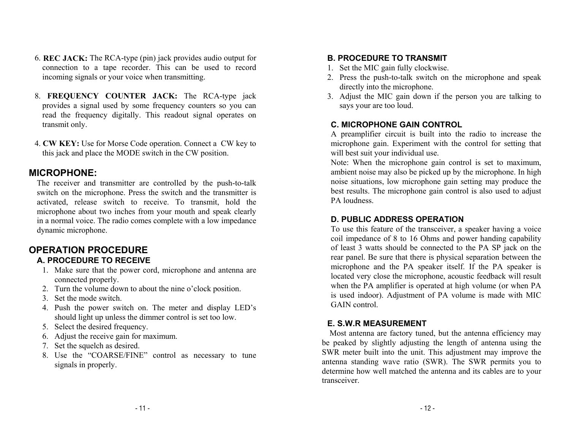- 6. **REC JACK:** The RCA-type (pin) jack provides audio output for connection to a tape recorder. This can be used to record incoming signals or your voice when transmitting.
- 8. **FREQUENCY COUNTER JACK:** The RCA-type jack provides a signal used by some frequency counters so you can read the frequency digitally. This readout signal operates on transmit only.
- 4. **CW KEY:** Use for Morse Code operation. Connect a CW key to this jack and place the MODE switch in the CW position.

### **MICROPHONE:**

The receiver and transmitter are controlled by the push-to-talk switch on the microphone. Press the switch and the transmitter is activated, release switch to receive. To transmit, hold the microphone about two inches from your mouth and speak clearly in a normal voice. The radio comes complete with a low impedance dynamic microphone.

#### **OPERATION PROCEDURE A. PROCEDURE TO RECEIVE**

- 1. Make sure that the power cord, microphone and antenna are connected properly.
- 2. Turn the volume down to about the nine o'clock position.
- 3. Set the mode switch.
- 4. Push the power switch on. The meter and display LED's should light up unless the dimmer control is set too low.
- 5. Select the desired frequency.
- 6. Adjust the receive gain for maximum.
- 7. Set the squelch as desired.
- 8. Use the "COARSE/FINE" control as necessary to tune signals in properly.

### **B. PROCEDURE TO TRANSMIT**

- 1. Set the MIC gain fully clockwise.
- 2. Press the push-to-talk switch on the microphone and speak directly into the microphone.
- 3. Adjust the MIC gain down if the person you are talking to says your are too loud.

### **C. MICROPHONE GAIN CONTROL**

A preamplifier circuit is built into the radio to increase the microphone gain. Experiment with the control for setting that will best suit your individual use.

Note: When the microphone gain control is set to maximum, ambient noise may also be picked up by the microphone. In high noise situations, low microphone gain setting may produce the best results. The microphone gain control is also used to adjust PA loudness.

#### **D. PUBLIC ADDRESS OPERATION**

To use this feature of the transceiver, a speaker having a voice coil impedance of 8 to 16 Ohms and power handing capability of least 3 watts should be connected to the PA SP jack on the rear panel. Be sure that there is physical separation between the microphone and the PA speaker itself. If the PA speaker is located very close the microphone, acoustic feedback will result when the PA amplifier is operated at high volume (or when PA is used indoor). Adjustment of PA volume is made with MIC GAIN control.

#### **E. S.W.R MEASUREMENT**

Most antenna are factory tuned, but the antenna efficiency may be peaked by slightly adjusting the length of antenna using the SWR meter built into the unit. This adjustment may improve the antenna standing wave ratio (SWR). The SWR permits you to determine how well matched the antenna and its cables are to your transceiver.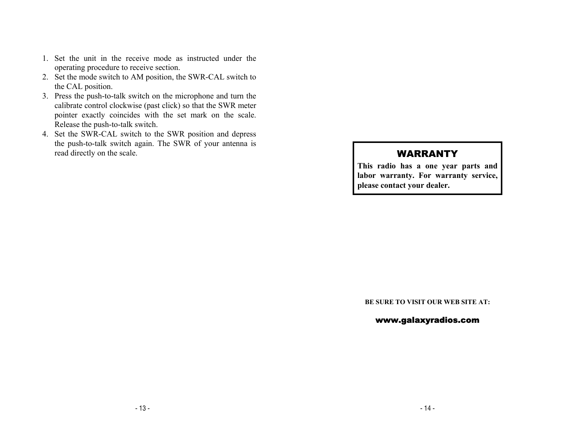- 1. Set the unit in the receive mode as instructed under the operating procedure to receive section.
- 2. Set the mode switch to AM position, the SWR-CAL switch to the CAL position.
- 3. Press the push-to-talk switch on the microphone and turn the calibrate control clockwise (past click) so that the SWR meter pointer exactly coincides with the set mark on the scale. Release the push-to-talk switch.
- 4. Set the SWR-CAL switch to the SWR position and depress the push-to-talk switch again. The SWR of your antenna is read directly on the scale.

# WARRANTY

**This radio has a one year parts and labor warranty. For warranty service, please contact your dealer.** 

**BE SURE TO VISIT OUR WEB SITE AT:** 

#### www.galaxyradios.com